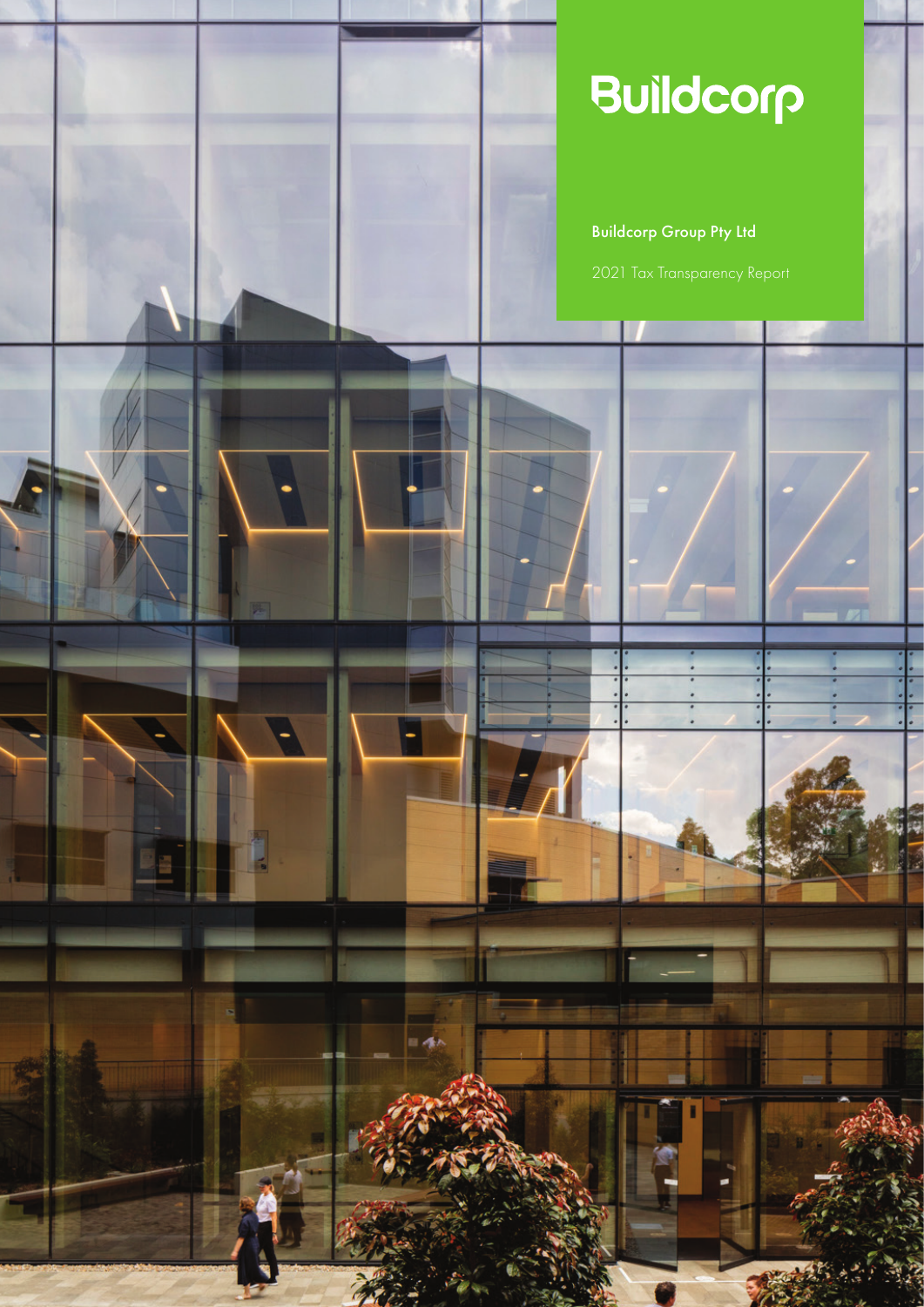# Buildcorp

### Buildcorp Group Pty Ltd

V

 $= 4k$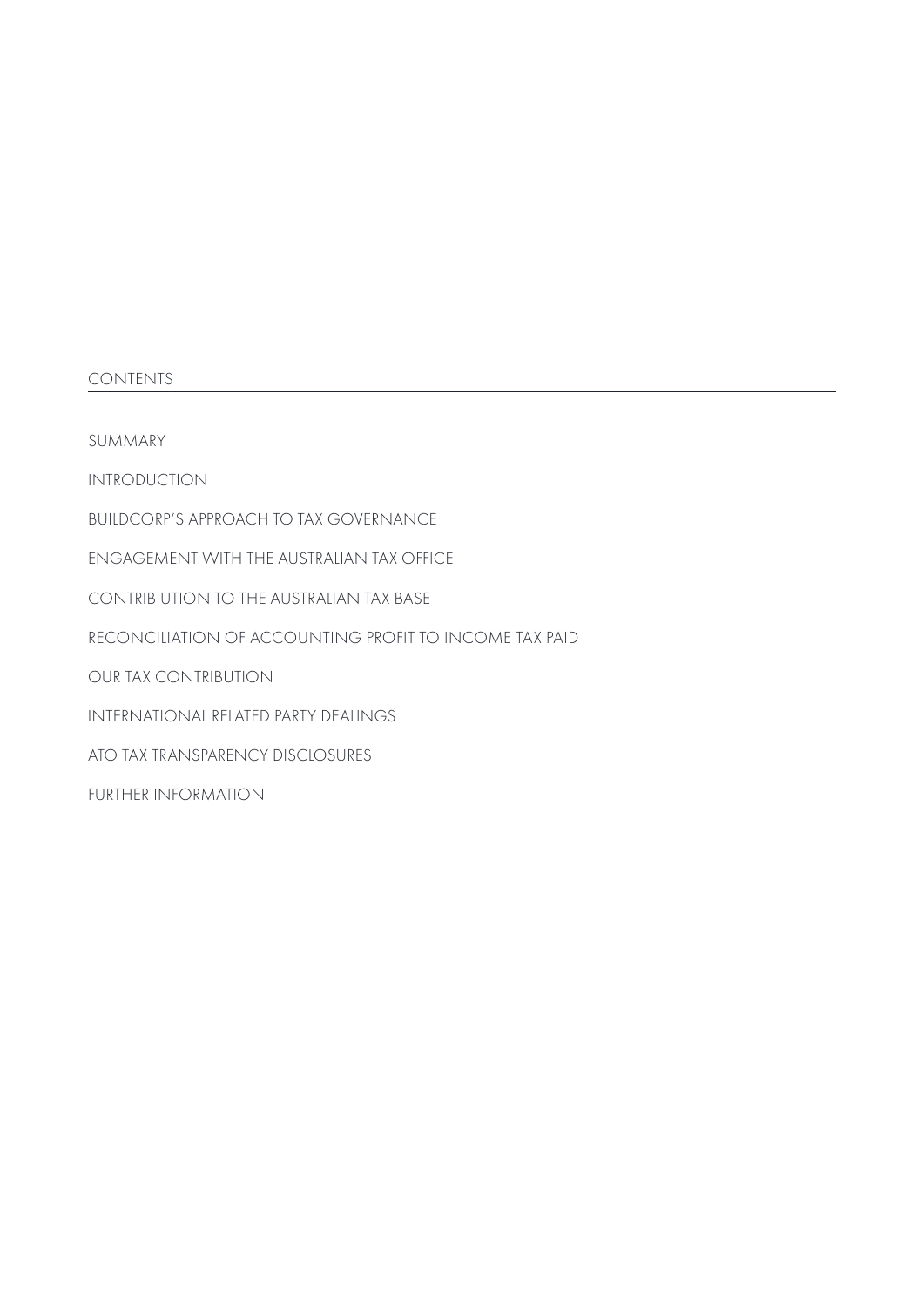#### **CONTENTS**

SUMMARY

INTRODUCTION

BUILDCORP'S APPROACH TO TAX GOVERNANCE

ENGAGEMENT WITH THE AUSTRALIAN TAX OFFICE

CONTRIB UTION TO THE AUSTRALIAN TAX BASE

RECONCILIATION OF ACCOUNTING PROFIT TO INCOME TAX PAID

OUR TAX CONTRIBUTION

INTERNATIONAL RELATED PARTY DEALINGS

ATO TAX TRANSPARENCY DISCLOSURES

FURTHER INFORMATION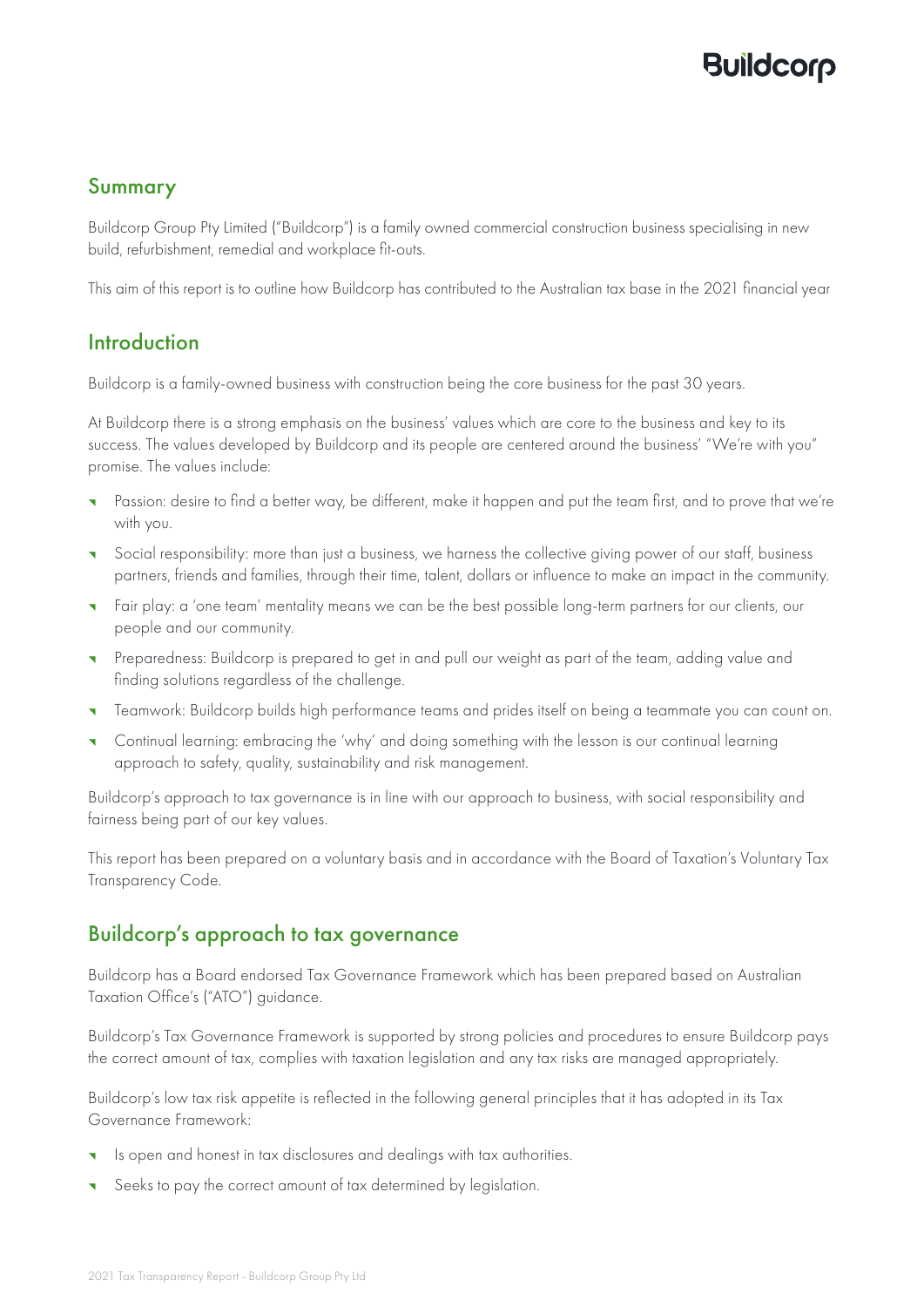## **Buildcord**

#### Summary

Buildcorp Group Pty Limited ("Buildcorp") is a family owned commercial construction business specialising in new build, refurbishment, remedial and workplace fit-outs.

This aim of this report is to outline how Buildcorp has contributed to the Australian tax base in the 2021 financial year

#### **Introduction**

Buildcorp is a family-owned business with construction being the core business for the past 30 years.

At Buildcorp there is a strong emphasis on the business' values which are core to the business and key to its success. The values developed by Buildcorp and its people are centered around the business' "We're with you" promise. The values include:

- Passion: desire to find a better way, be different, make it happen and put the team first, and to prove that we're with you.
- ^ Social responsibility: more than just a business, we harness the collective giving power of our staff, business partners, friends and families, through their time, talent, dollars or influence to make an impact in the community.
- ^ Fair play: a 'one team' mentality means we can be the best possible long-term partners for our clients, our people and our community.
- ^ Preparedness: Buildcorp is prepared to get in and pull our weight as part of the team, adding value and finding solutions regardless of the challenge.
- ^ Teamwork: Buildcorp builds high performance teams and prides itself on being a teammate you can count on.
- ^ Continual learning: embracing the 'why' and doing something with the lesson is our continual learning approach to safety, quality, sustainability and risk management.

Buildcorp's approach to tax governance is in line with our approach to business, with social responsibility and fairness being part of our key values.

This report has been prepared on a voluntary basis and in accordance with the Board of Taxation's Voluntary Tax Transparency Code.

#### Buildcorp's approach to tax governance

Buildcorp has a Board endorsed Tax Governance Framework which has been prepared based on Australian Taxation Office's ("ATO") guidance.

Buildcorp's Tax Governance Framework is supported by strong policies and procedures to ensure Buildcorp pays the correct amount of tax, complies with taxation legislation and any tax risks are managed appropriately.

Buildcorp's low tax risk appetite is reflected in the following general principles that it has adopted in its Tax Governance Framework:

- Is open and honest in tax disclosures and dealings with tax authorities.
- Seeks to pay the correct amount of tax determined by legislation.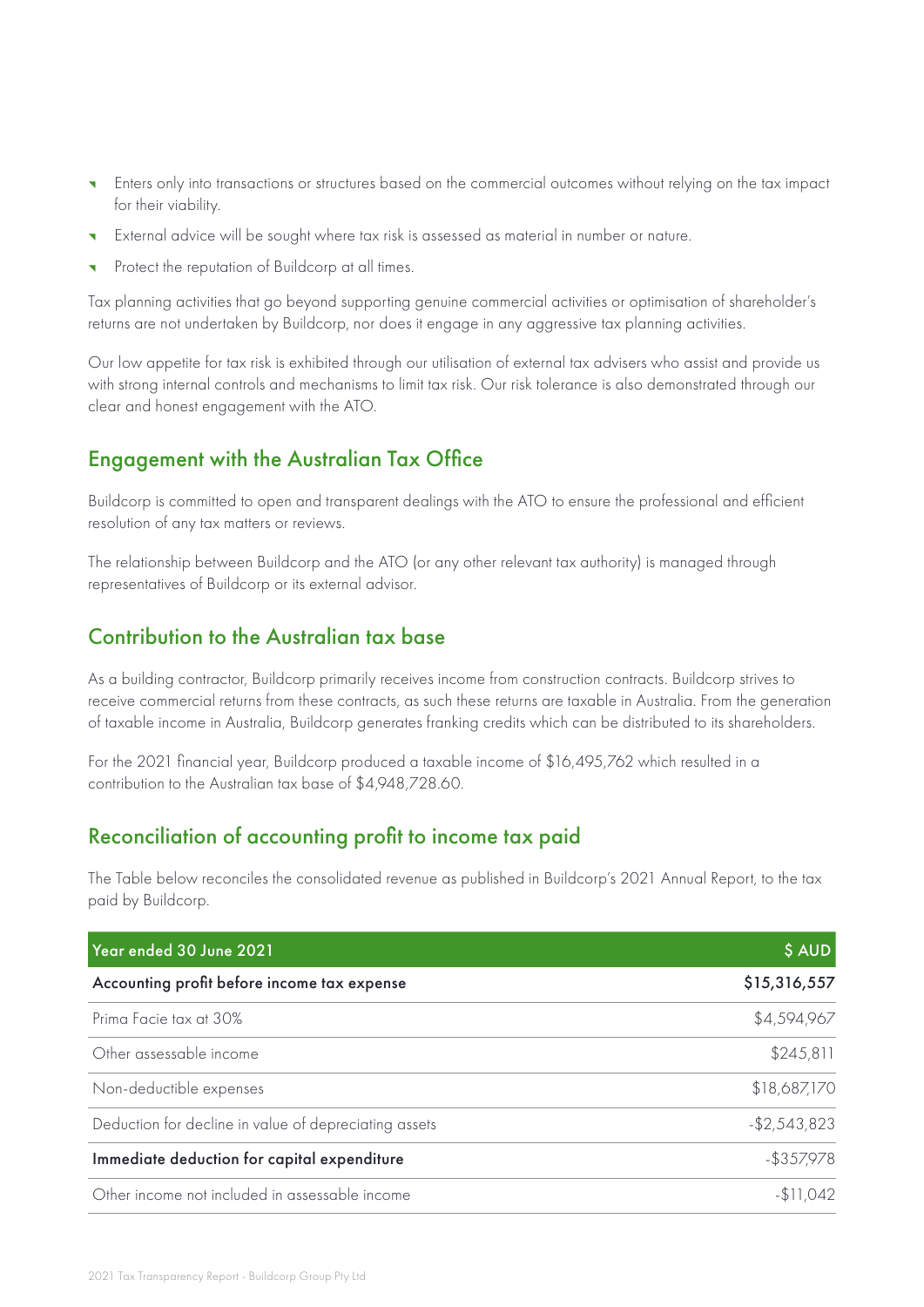- ^ Enters only into transactions or structures based on the commercial outcomes without relying on the tax impact for their viability.
- ^ External advice will be sought where tax risk is assessed as material in number or nature.
- Protect the reputation of Buildcorp at all times.

Tax planning activities that go beyond supporting genuine commercial activities or optimisation of shareholder's returns are not undertaken by Buildcorp, nor does it engage in any aggressive tax planning activities.

Our low appetite for tax risk is exhibited through our utilisation of external tax advisers who assist and provide us with strong internal controls and mechanisms to limit tax risk. Our risk tolerance is also demonstrated through our clear and honest engagement with the ATO.

#### Engagement with the Australian Tax Office

Buildcorp is committed to open and transparent dealings with the ATO to ensure the professional and efficient resolution of any tax matters or reviews.

The relationship between Buildcorp and the ATO (or any other relevant tax authority) is managed through representatives of Buildcorp or its external advisor.

#### Contribution to the Australian tax base

As a building contractor, Buildcorp primarily receives income from construction contracts. Buildcorp strives to receive commercial returns from these contracts, as such these returns are taxable in Australia. From the generation of taxable income in Australia, Buildcorp generates franking credits which can be distributed to its shareholders.

For the 2021 financial year, Buildcorp produced a taxable income of \$16,495,762 which resulted in a contribution to the Australian tax base of \$4,948,728.60.

#### Reconciliation of accounting profit to income tax paid

The Table below reconciles the consolidated revenue as published in Buildcorp's 2021 Annual Report, to the tax paid by Buildcorp.

| Year ended 30 June 2021                               | \$ AUD          |
|-------------------------------------------------------|-----------------|
| Accounting profit before income tax expense           | \$15,316,557    |
| Prima Facie tax at 30%                                | \$4,594,967     |
| Other assessable income                               | \$245,811       |
| Non-deductible expenses                               | \$18,687,170    |
| Deduction for decline in value of depreciating assets | $-$ \$2,543,823 |
| Immediate deduction for capital expenditure           | $-$ \$357,978   |
| Other income not included in assessable income        | $-$11.042$      |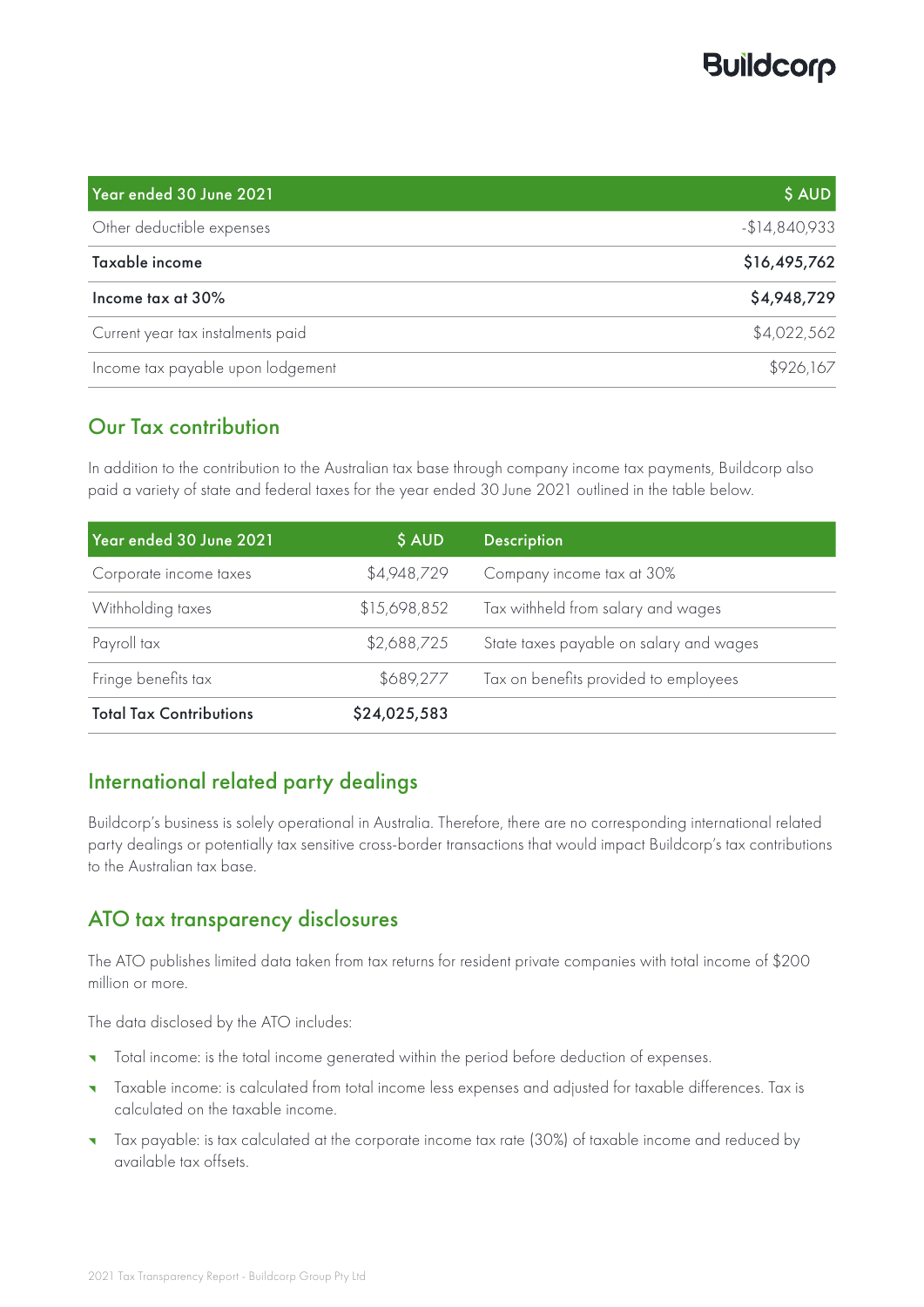## **Buildcorp**

| Year ended 30 June 2021           | \$ AUD         |
|-----------------------------------|----------------|
| Other deductible expenses         | $-$14,840,933$ |
| Taxable income                    | \$16,495,762   |
| Income tax at 30%                 | \$4,948,729    |
| Current year tax instalments paid | \$4,022,562    |
| Income tax payable upon lodgement | \$926,167      |

#### Our Tax contribution

In addition to the contribution to the Australian tax base through company income tax payments, Buildcorp also paid a variety of state and federal taxes for the year ended 30 June 2021 outlined in the table below.

| Year ended 30 June 2021        | \$ AUD       | <b>Description</b>                      |
|--------------------------------|--------------|-----------------------------------------|
| Corporate income taxes         | \$4,948,729  | Company income tax at 30%               |
| Withholding taxes              | \$15,698,852 | Tax withheld from salary and wages      |
| Payroll tax                    | \$2,688,725  | State taxes payable on salary and wages |
| Fringe benefits tax            | \$689,277    | Tax on benefits provided to employees   |
| <b>Total Tax Contributions</b> | \$24,025,583 |                                         |

#### International related party dealings

Buildcorp's business is solely operational in Australia. Therefore, there are no corresponding international related party dealings or potentially tax sensitive cross-border transactions that would impact Buildcorp's tax contributions to the Australian tax base.

#### ATO tax transparency disclosures

The ATO publishes limited data taken from tax returns for resident private companies with total income of \$200 million or more.

The data disclosed by the ATO includes:

- Total income: is the total income generated within the period before deduction of expenses.
- ^ Taxable income: is calculated from total income less expenses and adjusted for taxable differences. Tax is calculated on the taxable income.
- ^ Tax payable: is tax calculated at the corporate income tax rate (30%) of taxable income and reduced by available tax offsets.